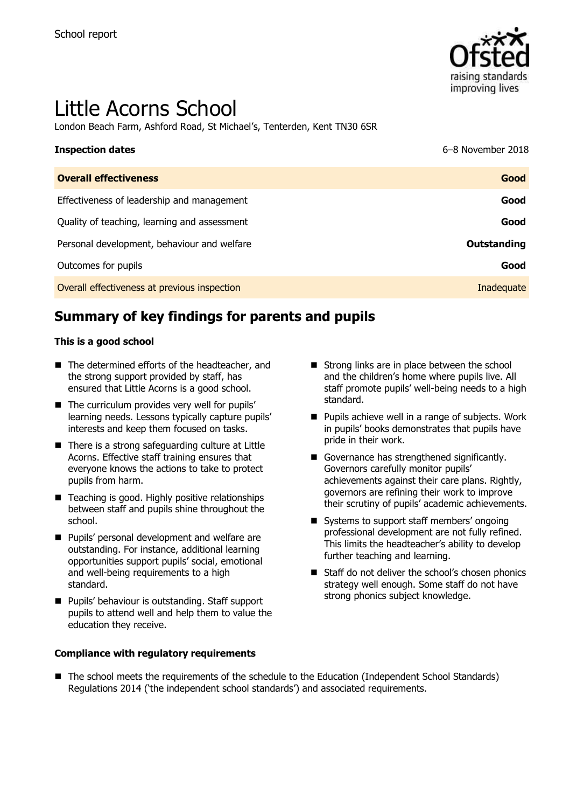

# Little Acorns School

London Beach Farm, Ashford Road, St Michael's, Tenterden, Kent TN30 6SR

| <b>Inspection dates</b>                      | 6-8 November 2018 |
|----------------------------------------------|-------------------|
| <b>Overall effectiveness</b>                 | Good              |
| Effectiveness of leadership and management   | Good              |
| Quality of teaching, learning and assessment | Good              |
| Personal development, behaviour and welfare  | Outstanding       |
| Outcomes for pupils                          | Good              |
| Overall effectiveness at previous inspection | Inadequate        |

# **Summary of key findings for parents and pupils**

#### **This is a good school**

- The determined efforts of the headteacher, and the strong support provided by staff, has ensured that Little Acorns is a good school.
- $\blacksquare$  The curriculum provides very well for pupils' learning needs. Lessons typically capture pupils' interests and keep them focused on tasks.
- There is a strong safeguarding culture at Little Acorns. Effective staff training ensures that everyone knows the actions to take to protect pupils from harm.
- $\blacksquare$  Teaching is good. Highly positive relationships between staff and pupils shine throughout the school.
- **Pupils' personal development and welfare are** outstanding. For instance, additional learning opportunities support pupils' social, emotional and well-being requirements to a high standard.
- **Pupils' behaviour is outstanding. Staff support** pupils to attend well and help them to value the education they receive.

#### **Compliance with regulatory requirements**

- Strong links are in place between the school and the children's home where pupils live. All staff promote pupils' well-being needs to a high standard.
- **Pupils achieve well in a range of subjects. Work** in pupils' books demonstrates that pupils have pride in their work.
- Governance has strengthened significantly. Governors carefully monitor pupils' achievements against their care plans. Rightly, governors are refining their work to improve their scrutiny of pupils' academic achievements.
- Systems to support staff members' ongoing professional development are not fully refined. This limits the headteacher's ability to develop further teaching and learning.
- Staff do not deliver the school's chosen phonics strategy well enough. Some staff do not have strong phonics subject knowledge.
- The school meets the requirements of the schedule to the Education (Independent School Standards) Regulations 2014 ('the independent school standards') and associated requirements.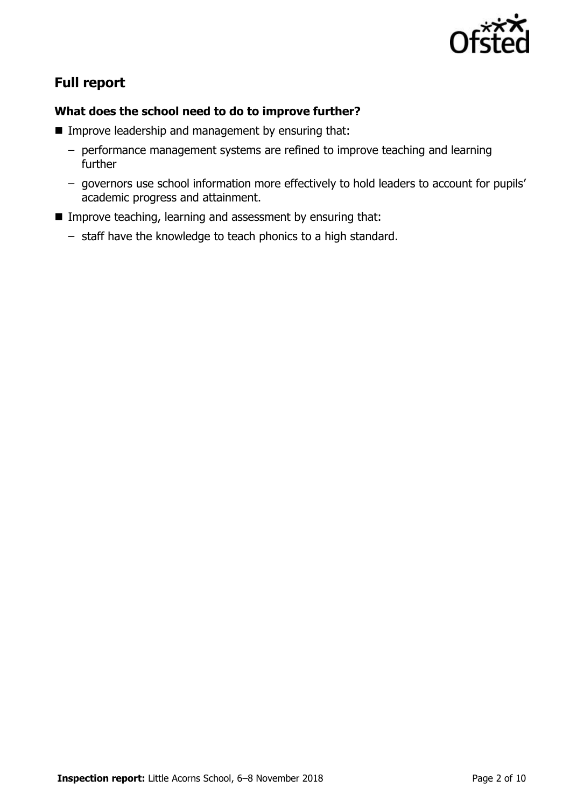

# **Full report**

## **What does the school need to do to improve further?**

- **IMPROVE leadership and management by ensuring that:** 
	- performance management systems are refined to improve teaching and learning further
	- governors use school information more effectively to hold leaders to account for pupils' academic progress and attainment.
- **IMPROVE teaching, learning and assessment by ensuring that:** 
	- staff have the knowledge to teach phonics to a high standard.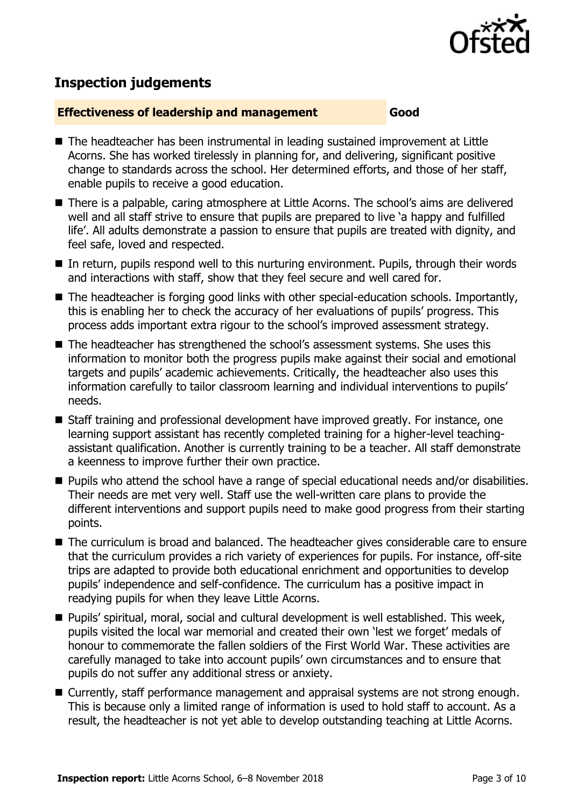

# **Inspection judgements**

#### **Effectiveness of leadership and management Good**

- The headteacher has been instrumental in leading sustained improvement at Little Acorns. She has worked tirelessly in planning for, and delivering, significant positive change to standards across the school. Her determined efforts, and those of her staff, enable pupils to receive a good education.
- There is a palpable, caring atmosphere at Little Acorns. The school's aims are delivered well and all staff strive to ensure that pupils are prepared to live 'a happy and fulfilled life'. All adults demonstrate a passion to ensure that pupils are treated with dignity, and feel safe, loved and respected.
- In return, pupils respond well to this nurturing environment. Pupils, through their words and interactions with staff, show that they feel secure and well cared for.
- The headteacher is forging good links with other special-education schools. Importantly, this is enabling her to check the accuracy of her evaluations of pupils' progress. This process adds important extra rigour to the school's improved assessment strategy.
- The headteacher has strengthened the school's assessment systems. She uses this information to monitor both the progress pupils make against their social and emotional targets and pupils' academic achievements. Critically, the headteacher also uses this information carefully to tailor classroom learning and individual interventions to pupils' needs.
- Staff training and professional development have improved greatly. For instance, one learning support assistant has recently completed training for a higher-level teachingassistant qualification. Another is currently training to be a teacher. All staff demonstrate a keenness to improve further their own practice.
- Pupils who attend the school have a range of special educational needs and/or disabilities. Their needs are met very well. Staff use the well-written care plans to provide the different interventions and support pupils need to make good progress from their starting points.
- The curriculum is broad and balanced. The headteacher gives considerable care to ensure that the curriculum provides a rich variety of experiences for pupils. For instance, off-site trips are adapted to provide both educational enrichment and opportunities to develop pupils' independence and self-confidence. The curriculum has a positive impact in readying pupils for when they leave Little Acorns.
- Pupils' spiritual, moral, social and cultural development is well established. This week, pupils visited the local war memorial and created their own 'lest we forget' medals of honour to commemorate the fallen soldiers of the First World War. These activities are carefully managed to take into account pupils' own circumstances and to ensure that pupils do not suffer any additional stress or anxiety.
- Currently, staff performance management and appraisal systems are not strong enough. This is because only a limited range of information is used to hold staff to account. As a result, the headteacher is not yet able to develop outstanding teaching at Little Acorns.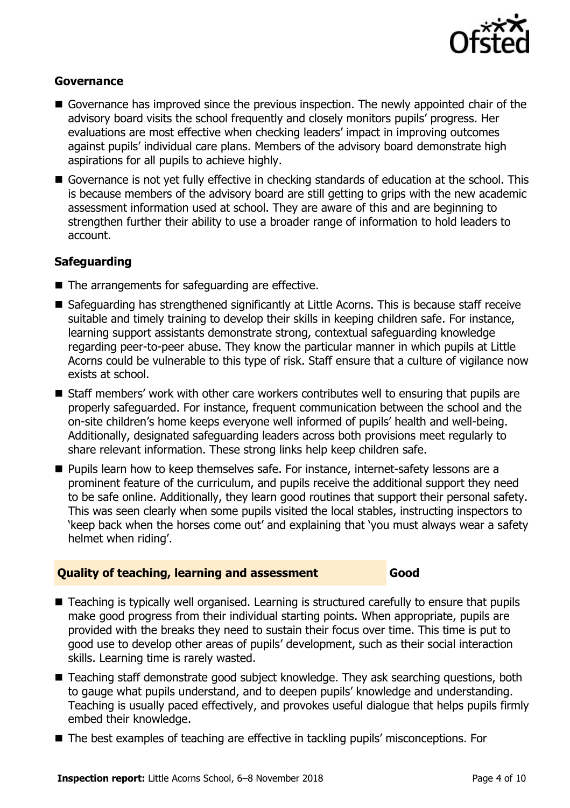

#### **Governance**

- Governance has improved since the previous inspection. The newly appointed chair of the advisory board visits the school frequently and closely monitors pupils' progress. Her evaluations are most effective when checking leaders' impact in improving outcomes against pupils' individual care plans. Members of the advisory board demonstrate high aspirations for all pupils to achieve highly.
- Governance is not yet fully effective in checking standards of education at the school. This is because members of the advisory board are still getting to grips with the new academic assessment information used at school. They are aware of this and are beginning to strengthen further their ability to use a broader range of information to hold leaders to account.

#### **Safeguarding**

- The arrangements for safeguarding are effective.
- Safeguarding has strengthened significantly at Little Acorns. This is because staff receive suitable and timely training to develop their skills in keeping children safe. For instance, learning support assistants demonstrate strong, contextual safeguarding knowledge regarding peer-to-peer abuse. They know the particular manner in which pupils at Little Acorns could be vulnerable to this type of risk. Staff ensure that a culture of vigilance now exists at school.
- Staff members' work with other care workers contributes well to ensuring that pupils are properly safeguarded. For instance, frequent communication between the school and the on-site children's home keeps everyone well informed of pupils' health and well-being. Additionally, designated safeguarding leaders across both provisions meet regularly to share relevant information. These strong links help keep children safe.
- **Pupils learn how to keep themselves safe. For instance, internet-safety lessons are a** prominent feature of the curriculum, and pupils receive the additional support they need to be safe online. Additionally, they learn good routines that support their personal safety. This was seen clearly when some pupils visited the local stables, instructing inspectors to 'keep back when the horses come out' and explaining that 'you must always wear a safety helmet when riding'.

#### **Quality of teaching, learning and assessment Good**

- Teaching is typically well organised. Learning is structured carefully to ensure that pupils make good progress from their individual starting points. When appropriate, pupils are provided with the breaks they need to sustain their focus over time. This time is put to good use to develop other areas of pupils' development, such as their social interaction skills. Learning time is rarely wasted.
- Teaching staff demonstrate good subject knowledge. They ask searching questions, both to gauge what pupils understand, and to deepen pupils' knowledge and understanding. Teaching is usually paced effectively, and provokes useful dialogue that helps pupils firmly embed their knowledge.
- The best examples of teaching are effective in tackling pupils' misconceptions. For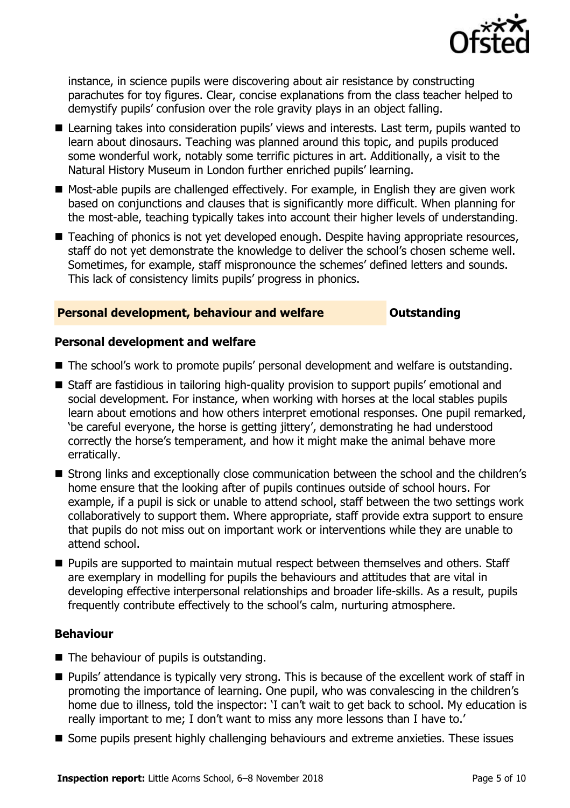

instance, in science pupils were discovering about air resistance by constructing parachutes for toy figures. Clear, concise explanations from the class teacher helped to demystify pupils' confusion over the role gravity plays in an object falling.

- Learning takes into consideration pupils' views and interests. Last term, pupils wanted to learn about dinosaurs. Teaching was planned around this topic, and pupils produced some wonderful work, notably some terrific pictures in art. Additionally, a visit to the Natural History Museum in London further enriched pupils' learning.
- Most-able pupils are challenged effectively. For example, in English they are given work based on conjunctions and clauses that is significantly more difficult. When planning for the most-able, teaching typically takes into account their higher levels of understanding.
- Teaching of phonics is not yet developed enough. Despite having appropriate resources, staff do not yet demonstrate the knowledge to deliver the school's chosen scheme well. Sometimes, for example, staff mispronounce the schemes' defined letters and sounds. This lack of consistency limits pupils' progress in phonics.

#### **Personal development, behaviour and welfare <b>COUNG COUTS** Outstanding

#### **Personal development and welfare**

- The school's work to promote pupils' personal development and welfare is outstanding.
- Staff are fastidious in tailoring high-quality provision to support pupils' emotional and social development. For instance, when working with horses at the local stables pupils learn about emotions and how others interpret emotional responses. One pupil remarked, 'be careful everyone, the horse is getting jittery', demonstrating he had understood correctly the horse's temperament, and how it might make the animal behave more erratically.
- Strong links and exceptionally close communication between the school and the children's home ensure that the looking after of pupils continues outside of school hours. For example, if a pupil is sick or unable to attend school, staff between the two settings work collaboratively to support them. Where appropriate, staff provide extra support to ensure that pupils do not miss out on important work or interventions while they are unable to attend school.
- **Pupils are supported to maintain mutual respect between themselves and others. Staff** are exemplary in modelling for pupils the behaviours and attitudes that are vital in developing effective interpersonal relationships and broader life-skills. As a result, pupils frequently contribute effectively to the school's calm, nurturing atmosphere.

### **Behaviour**

- The behaviour of pupils is outstanding.
- Pupils' attendance is typically very strong. This is because of the excellent work of staff in promoting the importance of learning. One pupil, who was convalescing in the children's home due to illness, told the inspector: 'I can't wait to get back to school. My education is really important to me; I don't want to miss any more lessons than I have to.'
- Some pupils present highly challenging behaviours and extreme anxieties. These issues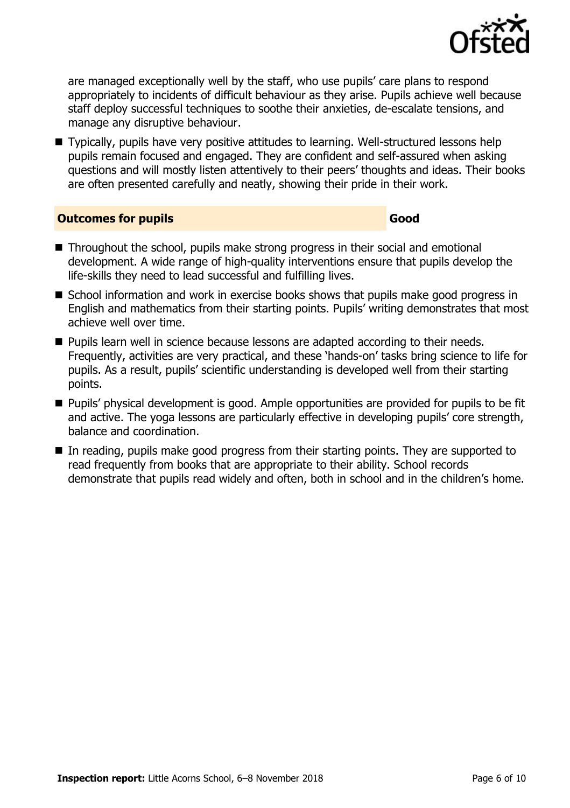

are managed exceptionally well by the staff, who use pupils' care plans to respond appropriately to incidents of difficult behaviour as they arise. Pupils achieve well because staff deploy successful techniques to soothe their anxieties, de-escalate tensions, and manage any disruptive behaviour.

 Typically, pupils have very positive attitudes to learning. Well-structured lessons help pupils remain focused and engaged. They are confident and self-assured when asking questions and will mostly listen attentively to their peers' thoughts and ideas. Their books are often presented carefully and neatly, showing their pride in their work.

#### **Outcomes for pupils Good**

- Throughout the school, pupils make strong progress in their social and emotional development. A wide range of high-quality interventions ensure that pupils develop the life-skills they need to lead successful and fulfilling lives.
- School information and work in exercise books shows that pupils make good progress in English and mathematics from their starting points. Pupils' writing demonstrates that most achieve well over time.
- **Pupils learn well in science because lessons are adapted according to their needs.** Frequently, activities are very practical, and these 'hands-on' tasks bring science to life for pupils. As a result, pupils' scientific understanding is developed well from their starting points.
- Pupils' physical development is good. Ample opportunities are provided for pupils to be fit and active. The yoga lessons are particularly effective in developing pupils' core strength, balance and coordination.
- In reading, pupils make good progress from their starting points. They are supported to read frequently from books that are appropriate to their ability. School records demonstrate that pupils read widely and often, both in school and in the children's home.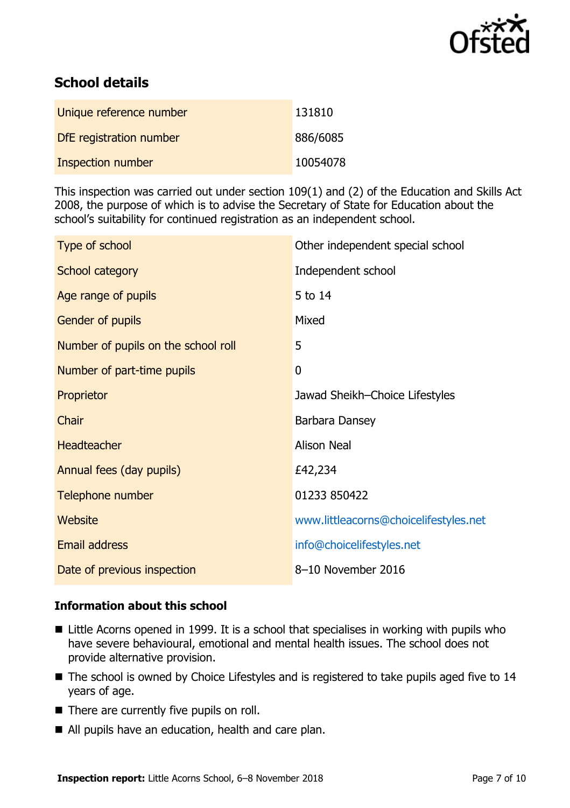

# **School details**

| Unique reference number | 131810   |
|-------------------------|----------|
| DfE registration number | 886/6085 |
| Inspection number       | 10054078 |

This inspection was carried out under section 109(1) and (2) of the Education and Skills Act 2008, the purpose of which is to advise the Secretary of State for Education about the school's suitability for continued registration as an independent school.

| Type of school                      | Other independent special school      |
|-------------------------------------|---------------------------------------|
| School category                     | Independent school                    |
| Age range of pupils                 | 5 to 14                               |
| Gender of pupils                    | Mixed                                 |
| Number of pupils on the school roll | 5                                     |
| Number of part-time pupils          | $\boldsymbol{0}$                      |
| Proprietor                          | Jawad Sheikh-Choice Lifestyles        |
| Chair                               | Barbara Dansey                        |
| Headteacher                         | <b>Alison Neal</b>                    |
| Annual fees (day pupils)            | £42,234                               |
| Telephone number                    | 01233 850422                          |
| <b>Website</b>                      | www.littleacorns@choicelifestyles.net |
| <b>Email address</b>                | info@choicelifestyles.net             |
| Date of previous inspection         | 8-10 November 2016                    |

### **Information about this school**

- Little Acorns opened in 1999. It is a school that specialises in working with pupils who have severe behavioural, emotional and mental health issues. The school does not provide alternative provision.
- The school is owned by Choice Lifestyles and is registered to take pupils aged five to 14 years of age.
- There are currently five pupils on roll.
- All pupils have an education, health and care plan.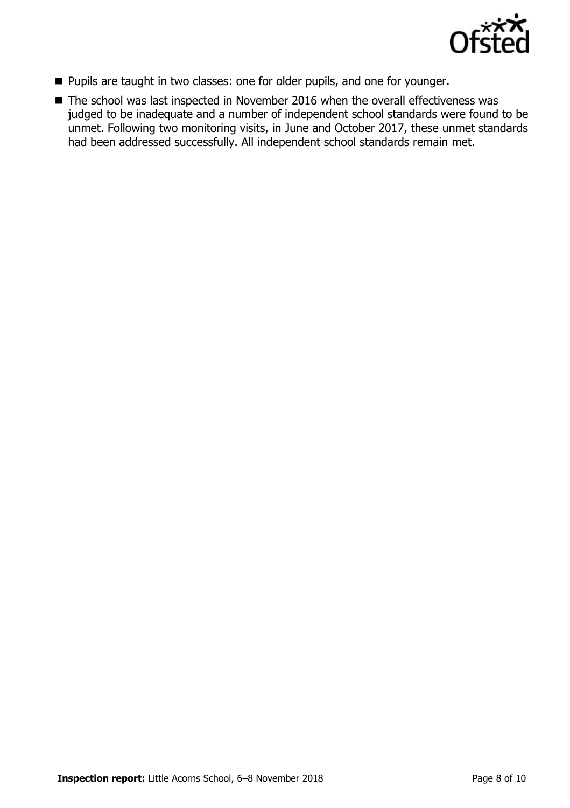

- **Pupils are taught in two classes: one for older pupils, and one for younger.**
- The school was last inspected in November 2016 when the overall effectiveness was judged to be inadequate and a number of independent school standards were found to be unmet. Following two monitoring visits, in June and October 2017, these unmet standards had been addressed successfully. All independent school standards remain met.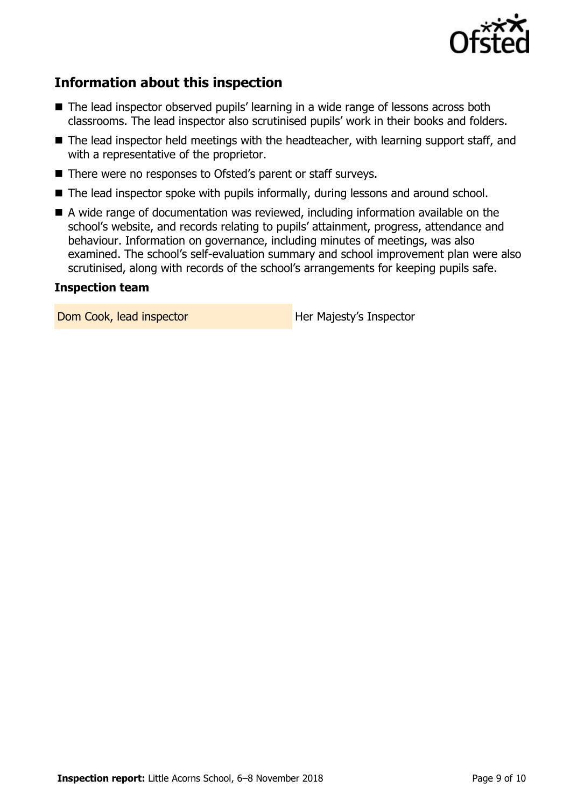

# **Information about this inspection**

- The lead inspector observed pupils' learning in a wide range of lessons across both classrooms. The lead inspector also scrutinised pupils' work in their books and folders.
- The lead inspector held meetings with the headteacher, with learning support staff, and with a representative of the proprietor.
- There were no responses to Ofsted's parent or staff surveys.
- The lead inspector spoke with pupils informally, during lessons and around school.
- A wide range of documentation was reviewed, including information available on the school's website, and records relating to pupils' attainment, progress, attendance and behaviour. Information on governance, including minutes of meetings, was also examined. The school's self-evaluation summary and school improvement plan were also scrutinised, along with records of the school's arrangements for keeping pupils safe.

#### **Inspection team**

**Dom Cook, lead inspector Her Majesty's Inspector**